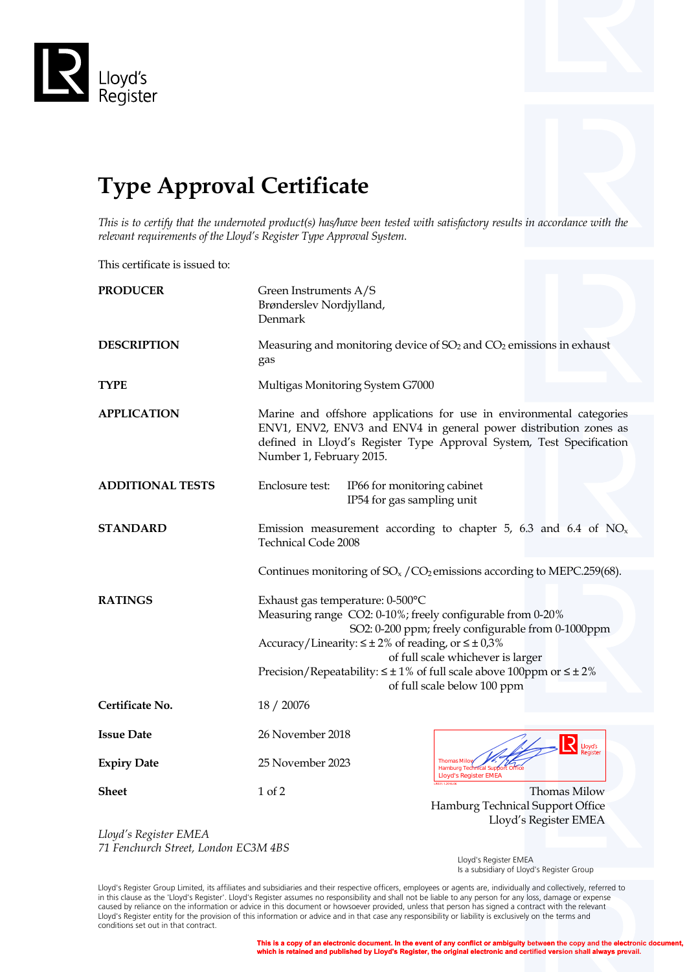

## **Type Approval Certificate**

*This is to certify that the undernoted product(s) has/have been tested with satisfactory results in accordance with the relevant requirements of the Lloyd's Register Type Approval System.*

This certificate is issued to:

| <b>PRODUCER</b>         | Green Instruments A/S<br>Brønderslev Nordjylland,<br>Denmark                                                                                                                                                                                                                                                                                                                           |
|-------------------------|----------------------------------------------------------------------------------------------------------------------------------------------------------------------------------------------------------------------------------------------------------------------------------------------------------------------------------------------------------------------------------------|
| <b>DESCRIPTION</b>      | Measuring and monitoring device of $SO2$ and $CO2$ emissions in exhaust<br>gas                                                                                                                                                                                                                                                                                                         |
| <b>TYPE</b>             | Multigas Monitoring System G7000                                                                                                                                                                                                                                                                                                                                                       |
| <b>APPLICATION</b>      | Marine and offshore applications for use in environmental categories<br>ENV1, ENV2, ENV3 and ENV4 in general power distribution zones as<br>defined in Lloyd's Register Type Approval System, Test Specification<br>Number 1, February 2015.                                                                                                                                           |
| <b>ADDITIONAL TESTS</b> | Enclosure test:<br>IP66 for monitoring cabinet<br>IP54 for gas sampling unit                                                                                                                                                                                                                                                                                                           |
| <b>STANDARD</b>         | Emission measurement according to chapter 5, 6.3 and 6.4 of $NOx$<br><b>Technical Code 2008</b>                                                                                                                                                                                                                                                                                        |
|                         | Continues monitoring of $SO_x/CO_2$ emissions according to MEPC.259(68).                                                                                                                                                                                                                                                                                                               |
| <b>RATINGS</b>          | Exhaust gas temperature: 0-500°C<br>Measuring range CO2: 0-10%; freely configurable from 0-20%<br>SO2: 0-200 ppm; freely configurable from 0-1000ppm<br>Accuracy/Linearity: $\leq \pm 2\%$ of reading, or $\leq \pm 0.3\%$<br>of full scale whichever is larger<br>Precision/Repeatability: $\leq \pm 1\%$ of full scale above 100ppm or $\leq \pm 2\%$<br>of full scale below 100 ppm |
| Certificate No.         | 18 / 20076                                                                                                                                                                                                                                                                                                                                                                             |
| <b>Issue Date</b>       | 26 November 2018<br><b>R</b> Lloyd's                                                                                                                                                                                                                                                                                                                                                   |
| <b>Expiry Date</b>      | 25 November 2023<br><b>Thomas Milov</b><br>Hamburg Techn<br>al Sup<br><b>Lloyd's Register EMEA</b>                                                                                                                                                                                                                                                                                     |
| <b>Sheet</b>            | 1 of 2<br>Thomas Milow<br>Hamburg Technical Support Office<br>Lloyd's Register EMEA                                                                                                                                                                                                                                                                                                    |

*Lloyd's Register EMEA 71 Fenchurch Street, London EC3M 4BS*

Lloyd's Register EMEA Is a subsidiary of Lloyd's Register Group

Lloyd's Register Group Limited, its affiliates and subsidiaries and their respective officers, employees or agents are, individually and collectively, referred to in this clause as the 'Lloyd's Register'. Lloyd's Register assumes no responsibility and shall not be liable to any person for any loss, damage or expense caused by reliance on the information or advice in this document or howsoever provided, unless that person has signed a contract with the relevant Lloyd's Register entity for the provision of this information or advice and in that case any responsibility or liability is exclusively on the terms and conditions set out in that contract.